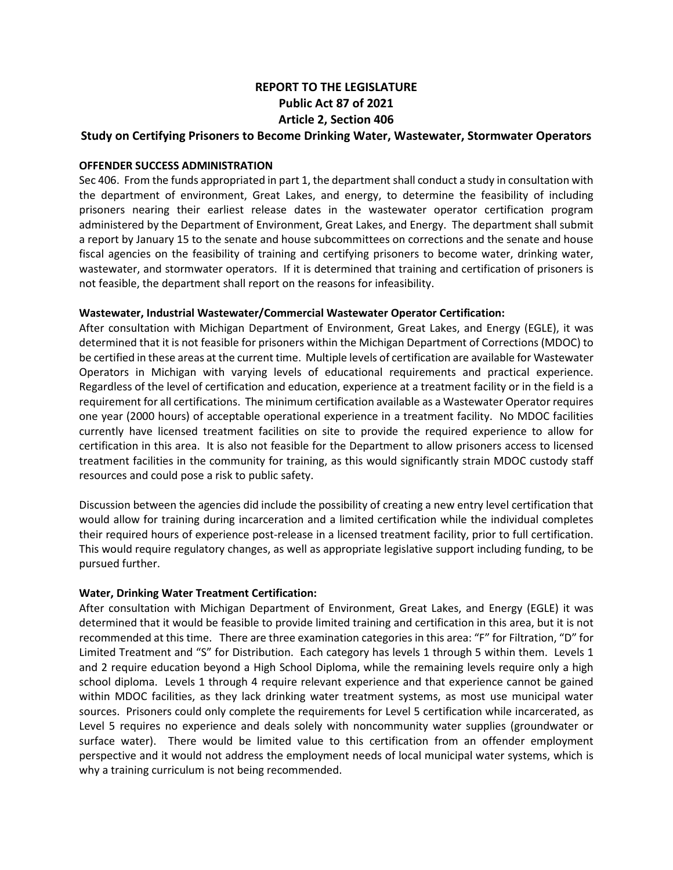# **REPORT TO THE LEGISLATURE Public Act 87 of 2021 Article 2, Section 406**

## **Study on Certifying Prisoners to Become Drinking Water, Wastewater, Stormwater Operators**

### **OFFENDER SUCCESS ADMINISTRATION**

Sec 406. From the funds appropriated in part 1, the department shall conduct a study in consultation with the department of environment, Great Lakes, and energy, to determine the feasibility of including prisoners nearing their earliest release dates in the wastewater operator certification program administered by the Department of Environment, Great Lakes, and Energy. The department shall submit a report by January 15 to the senate and house subcommittees on corrections and the senate and house fiscal agencies on the feasibility of training and certifying prisoners to become water, drinking water, wastewater, and stormwater operators. If it is determined that training and certification of prisoners is not feasible, the department shall report on the reasons for infeasibility.

#### **Wastewater, Industrial Wastewater/Commercial Wastewater Operator Certification:**

After consultation with Michigan Department of Environment, Great Lakes, and Energy (EGLE), it was determined that it is not feasible for prisoners within the Michigan Department of Corrections (MDOC) to be certified in these areas at the current time. Multiple levels of certification are available for Wastewater Operators in Michigan with varying levels of educational requirements and practical experience. Regardless of the level of certification and education, experience at a treatment facility or in the field is a requirement for all certifications. The minimum certification available as a Wastewater Operator requires one year (2000 hours) of acceptable operational experience in a treatment facility. No MDOC facilities currently have licensed treatment facilities on site to provide the required experience to allow for certification in this area. It is also not feasible for the Department to allow prisoners access to licensed treatment facilities in the community for training, as this would significantly strain MDOC custody staff resources and could pose a risk to public safety.

Discussion between the agencies did include the possibility of creating a new entry level certification that would allow for training during incarceration and a limited certification while the individual completes their required hours of experience post-release in a licensed treatment facility, prior to full certification. This would require regulatory changes, as well as appropriate legislative support including funding, to be pursued further.

## **Water, Drinking Water Treatment Certification:**

After consultation with Michigan Department of Environment, Great Lakes, and Energy (EGLE) it was determined that it would be feasible to provide limited training and certification in this area, but it is not recommended at this time. There are three examination categories in this area: "F" for Filtration, "D" for Limited Treatment and "S" for Distribution. Each category has levels 1 through 5 within them. Levels 1 and 2 require education beyond a High School Diploma, while the remaining levels require only a high school diploma. Levels 1 through 4 require relevant experience and that experience cannot be gained within MDOC facilities, as they lack drinking water treatment systems, as most use municipal water sources. Prisoners could only complete the requirements for Level 5 certification while incarcerated, as Level 5 requires no experience and deals solely with noncommunity water supplies (groundwater or surface water). There would be limited value to this certification from an offender employment perspective and it would not address the employment needs of local municipal water systems, which is why a training curriculum is not being recommended.